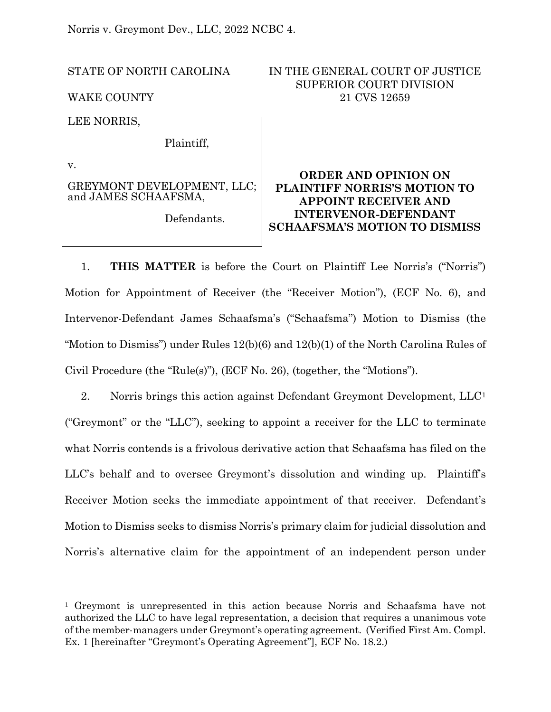Norris v. Greymont Dev., LLC, 2022 NCBC 4.

STATE OF NORTH CAROLINA

WAKE COUNTY

LEE NORRIS,

Plaintiff,

v.

GREYMONT DEVELOPMENT, LLC; and JAMES SCHAAFSMA,

Defendants.

# IN THE GENERAL COURT OF JUSTICE SUPERIOR COURT DIVISION 21 CVS 12659

# **ORDER AND OPINION ON PLAINTIFF NORRIS'S MOTION TO APPOINT RECEIVER AND INTERVENOR-DEFENDANT SCHAAFSMA'S MOTION TO DISMISS**

1. **THIS MATTER** is before the Court on Plaintiff Lee Norris's ("Norris") Motion for Appointment of Receiver (the "Receiver Motion"), (ECF No. 6), and Intervenor-Defendant James Schaafsma's ("Schaafsma") Motion to Dismiss (the "Motion to Dismiss") under Rules 12(b)(6) and 12(b)(1) of the North Carolina Rules of Civil Procedure (the "Rule(s)"), (ECF No. 26), (together, the "Motions").

2. Norris brings this action against Defendant Greymont Development, LLC<sup>[1](#page-0-0)</sup> ("Greymont" or the "LLC"), seeking to appoint a receiver for the LLC to terminate what Norris contends is a frivolous derivative action that Schaafsma has filed on the LLC's behalf and to oversee Greymont's dissolution and winding up. Plaintiff's Receiver Motion seeks the immediate appointment of that receiver. Defendant's Motion to Dismiss seeks to dismiss Norris's primary claim for judicial dissolution and Norris's alternative claim for the appointment of an independent person under

<span id="page-0-0"></span><sup>1</sup> Greymont is unrepresented in this action because Norris and Schaafsma have not authorized the LLC to have legal representation, a decision that requires a unanimous vote of the member-managers under Greymont's operating agreement. (Verified First Am. Compl. Ex. 1 [hereinafter "Greymont's Operating Agreement"], ECF No. 18.2.)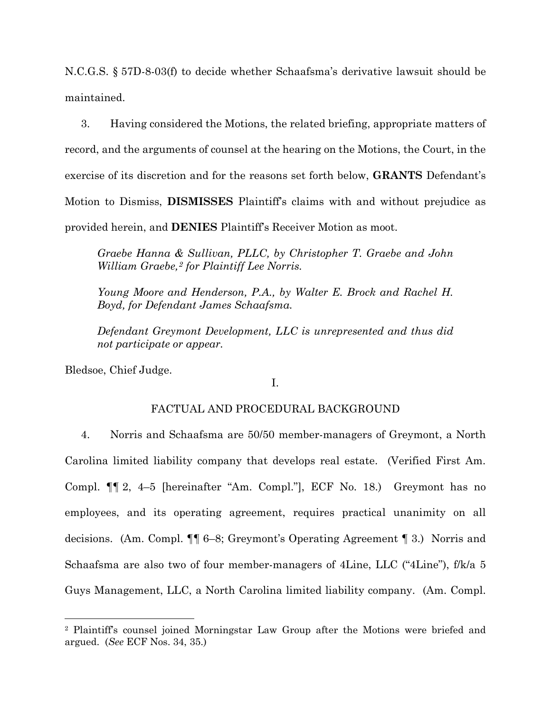N.C.G.S. § 57D-8-03(f) to decide whether Schaafsma's derivative lawsuit should be maintained.

3. Having considered the Motions, the related briefing, appropriate matters of record, and the arguments of counsel at the hearing on the Motions, the Court, in the exercise of its discretion and for the reasons set forth below, **GRANTS** Defendant's Motion to Dismiss, **DISMISSES** Plaintiff's claims with and without prejudice as provided herein, and **DENIES** Plaintiff's Receiver Motion as moot.

*Graebe Hanna & Sullivan, PLLC, by Christopher T. Graebe and John William Graebe,[2](#page-1-0) for Plaintiff Lee Norris.*

*Young Moore and Henderson, P.A., by Walter E. Brock and Rachel H. Boyd, for Defendant James Schaafsma.*

*Defendant Greymont Development, LLC is unrepresented and thus did not participate or appear.*

Bledsoe, Chief Judge.

### I.

## FACTUAL AND PROCEDURAL BACKGROUND

4. Norris and Schaafsma are 50/50 member-managers of Greymont, a North Carolina limited liability company that develops real estate. (Verified First Am. Compl. ¶¶ 2, 4–5 [hereinafter "Am. Compl."], ECF No. 18.) Greymont has no employees, and its operating agreement, requires practical unanimity on all decisions. (Am. Compl. ¶¶ 6–8; Greymont's Operating Agreement ¶ 3.) Norris and Schaafsma are also two of four member-managers of 4Line, LLC ("4Line"), f/k/a 5 Guys Management, LLC, a North Carolina limited liability company. (Am. Compl.

<span id="page-1-0"></span><sup>2</sup> Plaintiff's counsel joined Morningstar Law Group after the Motions were briefed and argued. (*See* ECF Nos. 34, 35.)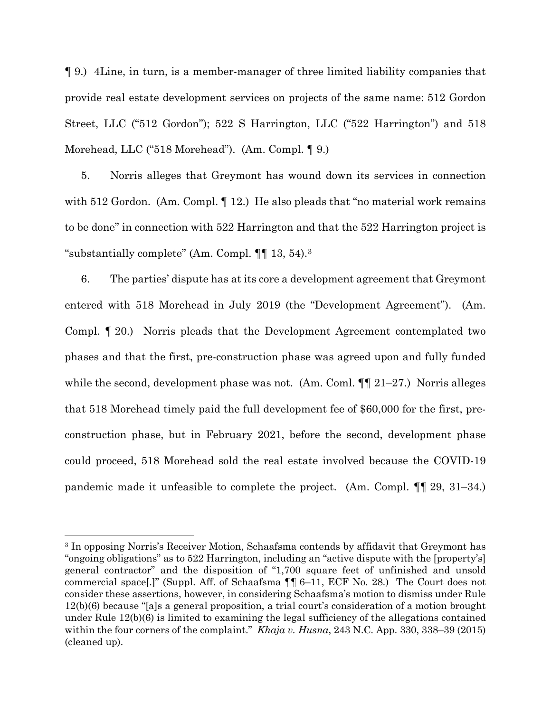¶ 9.) 4Line, in turn, is a member-manager of three limited liability companies that provide real estate development services on projects of the same name: 512 Gordon Street, LLC ("512 Gordon"); 522 S Harrington, LLC ("522 Harrington") and 518 Morehead, LLC ("518 Morehead"). (Am. Compl. ¶ 9.)

5. Norris alleges that Greymont has wound down its services in connection with 512 Gordon. (Am. Compl. 12.) He also pleads that "no material work remains to be done" in connection with 522 Harrington and that the 522 Harrington project is "substantially complete" (Am. Compl. ¶¶ 13, 54).[3](#page-2-0) 

6. The parties' dispute has at its core a development agreement that Greymont entered with 518 Morehead in July 2019 (the "Development Agreement"). (Am. Compl. ¶ 20.) Norris pleads that the Development Agreement contemplated two phases and that the first, pre-construction phase was agreed upon and fully funded while the second, development phase was not. (Am. Coml.  $\P\P$  21–27.) Norris alleges that 518 Morehead timely paid the full development fee of \$60,000 for the first, preconstruction phase, but in February 2021, before the second, development phase could proceed, 518 Morehead sold the real estate involved because the COVID-19 pandemic made it unfeasible to complete the project. (Am. Compl. ¶¶ 29, 31–34.)

<span id="page-2-0"></span><sup>3</sup> In opposing Norris's Receiver Motion, Schaafsma contends by affidavit that Greymont has "ongoing obligations" as to 522 Harrington, including an "active dispute with the [property's] general contractor" and the disposition of "1,700 square feet of unfinished and unsold commercial space[.]" (Suppl. Aff. of Schaafsma ¶¶ 6–11, ECF No. 28.) The Court does not consider these assertions, however, in considering Schaafsma's motion to dismiss under Rule 12(b)(6) because "[a]s a general proposition, a trial court's consideration of a motion brought under Rule 12(b)(6) is limited to examining the legal sufficiency of the allegations contained within the four corners of the complaint." *Khaja v. Husna*, 243 N.C. App. 330, 338–39 (2015) (cleaned up).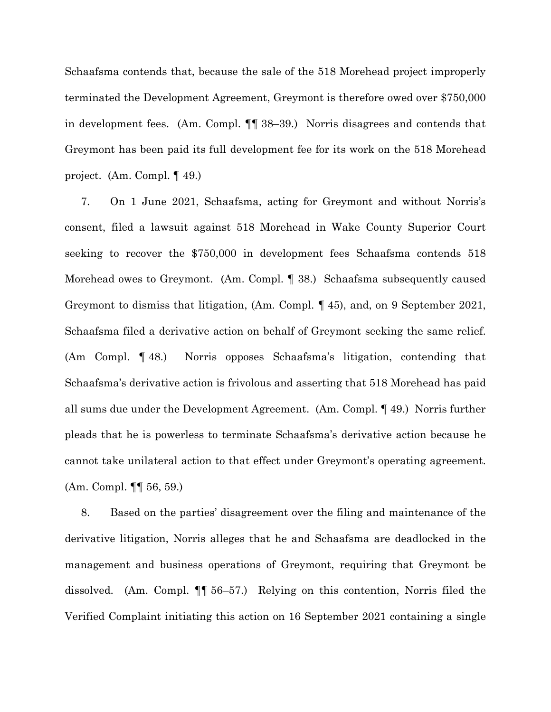Schaafsma contends that, because the sale of the 518 Morehead project improperly terminated the Development Agreement, Greymont is therefore owed over \$750,000 in development fees. (Am. Compl. ¶¶ 38–39.) Norris disagrees and contends that Greymont has been paid its full development fee for its work on the 518 Morehead project. (Am. Compl. ¶ 49.)

7. On 1 June 2021, Schaafsma, acting for Greymont and without Norris's consent, filed a lawsuit against 518 Morehead in Wake County Superior Court seeking to recover the \$750,000 in development fees Schaafsma contends 518 Morehead owes to Greymont. (Am. Compl. ¶ 38.) Schaafsma subsequently caused Greymont to dismiss that litigation, (Am. Compl. ¶ 45), and, on 9 September 2021, Schaafsma filed a derivative action on behalf of Greymont seeking the same relief. (Am Compl. ¶ 48.) Norris opposes Schaafsma's litigation, contending that Schaafsma's derivative action is frivolous and asserting that 518 Morehead has paid all sums due under the Development Agreement. (Am. Compl. ¶ 49.) Norris further pleads that he is powerless to terminate Schaafsma's derivative action because he cannot take unilateral action to that effect under Greymont's operating agreement. (Am. Compl. ¶¶ 56, 59.)

8. Based on the parties' disagreement over the filing and maintenance of the derivative litigation, Norris alleges that he and Schaafsma are deadlocked in the management and business operations of Greymont, requiring that Greymont be dissolved. (Am. Compl. ¶¶ 56–57.) Relying on this contention, Norris filed the Verified Complaint initiating this action on 16 September 2021 containing a single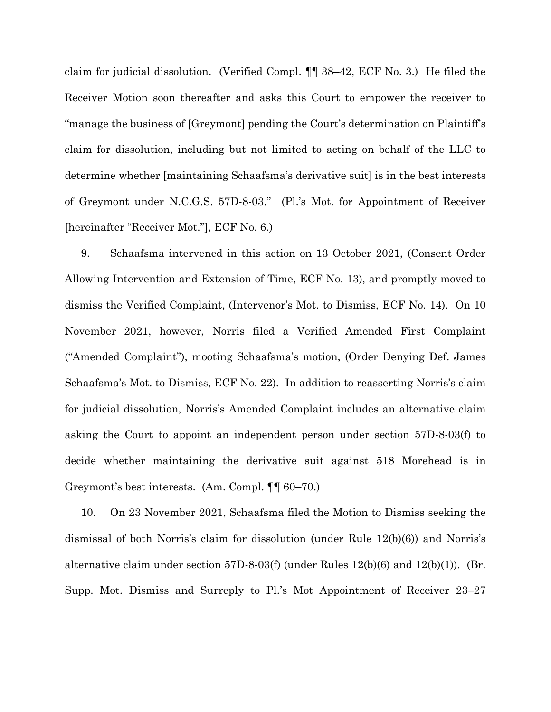claim for judicial dissolution. (Verified Compl. ¶¶ 38–42, ECF No. 3.) He filed the Receiver Motion soon thereafter and asks this Court to empower the receiver to "manage the business of [Greymont] pending the Court's determination on Plaintiff's claim for dissolution, including but not limited to acting on behalf of the LLC to determine whether [maintaining Schaafsma's derivative suit] is in the best interests of Greymont under N.C.G.S. 57D-8-03." (Pl.'s Mot. for Appointment of Receiver [hereinafter "Receiver Mot."], ECF No. 6.)

9. Schaafsma intervened in this action on 13 October 2021, (Consent Order Allowing Intervention and Extension of Time, ECF No. 13), and promptly moved to dismiss the Verified Complaint, (Intervenor's Mot. to Dismiss, ECF No. 14). On 10 November 2021, however, Norris filed a Verified Amended First Complaint ("Amended Complaint"), mooting Schaafsma's motion, (Order Denying Def. James Schaafsma's Mot. to Dismiss, ECF No. 22). In addition to reasserting Norris's claim for judicial dissolution, Norris's Amended Complaint includes an alternative claim asking the Court to appoint an independent person under section 57D-8-03(f) to decide whether maintaining the derivative suit against 518 Morehead is in Greymont's best interests. (Am. Compl. ¶¶ 60–70.)

10. On 23 November 2021, Schaafsma filed the Motion to Dismiss seeking the dismissal of both Norris's claim for dissolution (under Rule 12(b)(6)) and Norris's alternative claim under section 57D-8-03(f) (under Rules 12(b)(6) and 12(b)(1)). (Br. Supp. Mot. Dismiss and Surreply to Pl.'s Mot Appointment of Receiver 23–27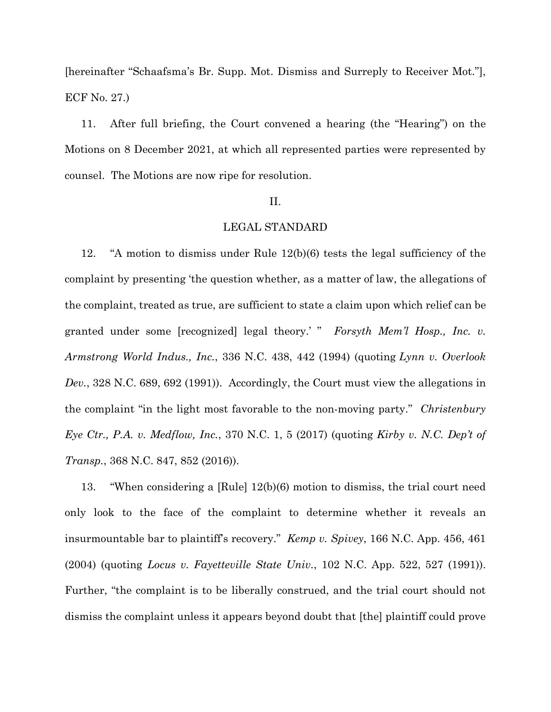[hereinafter "Schaafsma's Br. Supp. Mot. Dismiss and Surreply to Receiver Mot."], ECF No. 27.)

11. After full briefing, the Court convened a hearing (the "Hearing") on the Motions on 8 December 2021, at which all represented parties were represented by counsel. The Motions are now ripe for resolution.

#### II.

#### LEGAL STANDARD

12. "A motion to dismiss under Rule 12(b)(6) tests the legal sufficiency of the complaint by presenting 'the question whether, as a matter of law, the allegations of the complaint, treated as true, are sufficient to state a claim upon which relief can be granted under some [recognized] legal theory.' " *Forsyth Mem'l Hosp., Inc. v. Armstrong World Indus., Inc.*, 336 N.C. 438, 442 (1994) (quoting *Lynn v. Overlook Dev.*, 328 N.C. 689, 692 (1991)). Accordingly, the Court must view the allegations in the complaint "in the light most favorable to the non-moving party." *Christenbury Eye Ctr., P.A. v. Medflow, Inc.*, 370 N.C. 1, 5 (2017) (quoting *Kirby v. N.C. Dep't of Transp.*, 368 N.C. 847, 852 (2016)).

13. "When considering a [Rule] 12(b)(6) motion to dismiss, the trial court need only look to the face of the complaint to determine whether it reveals an insurmountable bar to plaintiff's recovery." *Kemp v. Spivey*, 166 N.C. App. 456, 461 (2004) (quoting *Locus v. Fayetteville State Univ.*, 102 N.C. App. 522, 527 (1991)). Further, "the complaint is to be liberally construed, and the trial court should not dismiss the complaint unless it appears beyond doubt that [the] plaintiff could prove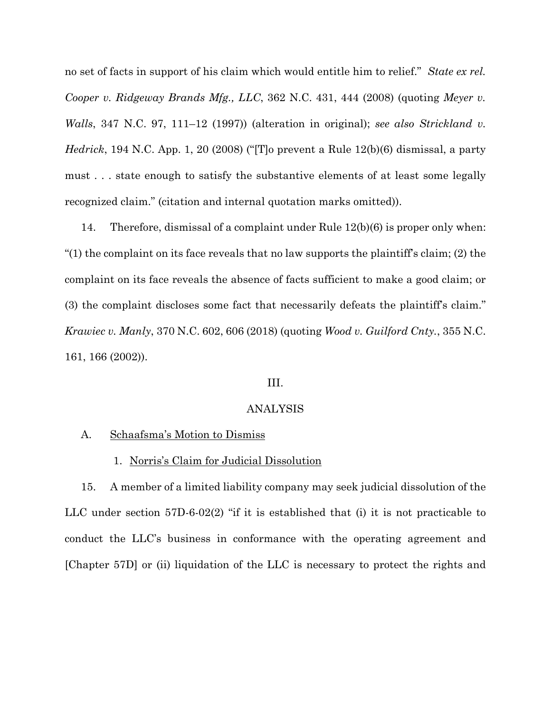no set of facts in support of his claim which would entitle him to relief." *State ex rel. Cooper v. Ridgeway Brands Mfg., LLC*, 362 N.C. 431, 444 (2008) (quoting *Meyer v. Walls*, 347 N.C. 97, 111–12 (1997)) (alteration in original); *see also Strickland v. Hedrick*, 194 N.C. App. 1, 20 (2008) ("[T]o prevent a Rule 12(b)(6) dismissal, a party must . . . state enough to satisfy the substantive elements of at least some legally recognized claim." (citation and internal quotation marks omitted)).

14. Therefore, dismissal of a complaint under Rule 12(b)(6) is proper only when: "(1) the complaint on its face reveals that no law supports the plaintiff's claim; (2) the complaint on its face reveals the absence of facts sufficient to make a good claim; or (3) the complaint discloses some fact that necessarily defeats the plaintiff's claim." *Krawiec v. Manly*, 370 N.C. 602, 606 (2018) (quoting *Wood v. Guilford Cnty.*, 355 N.C. 161, 166 (2002)).

### III.

#### ANALYSIS

#### A. Schaafsma's Motion to Dismiss

#### 1. Norris's Claim for Judicial Dissolution

15. A member of a limited liability company may seek judicial dissolution of the LLC under section 57D-6-02(2) "if it is established that (i) it is not practicable to conduct the LLC's business in conformance with the operating agreement and [Chapter 57D] or (ii) liquidation of the LLC is necessary to protect the rights and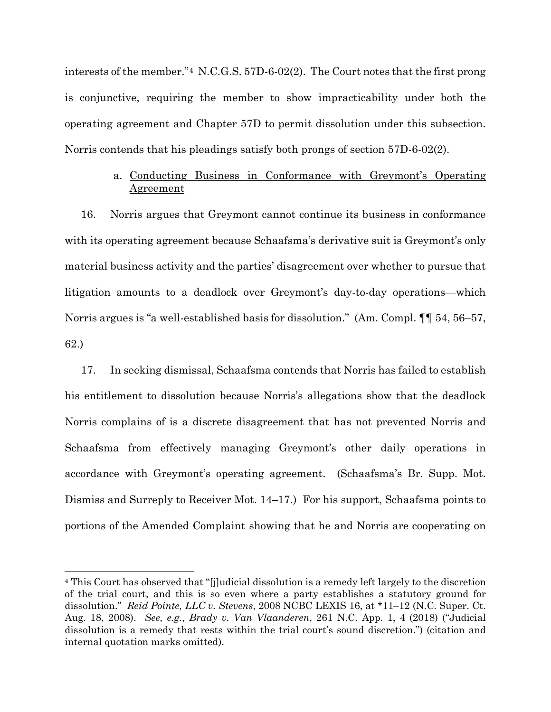interests of the member."[4](#page-7-0) N.C.G.S. 57D-6-02(2). The Court notes that the first prong is conjunctive, requiring the member to show impracticability under both the operating agreement and Chapter 57D to permit dissolution under this subsection. Norris contends that his pleadings satisfy both prongs of section 57D-6-02(2).

# a. Conducting Business in Conformance with Greymont's Operating Agreement

16. Norris argues that Greymont cannot continue its business in conformance with its operating agreement because Schaafsma's derivative suit is Greymont's only material business activity and the parties' disagreement over whether to pursue that litigation amounts to a deadlock over Greymont's day-to-day operations—which Norris argues is "a well-established basis for dissolution." (Am. Compl. ¶¶ 54, 56–57, 62.)

17. In seeking dismissal, Schaafsma contends that Norris has failed to establish his entitlement to dissolution because Norris's allegations show that the deadlock Norris complains of is a discrete disagreement that has not prevented Norris and Schaafsma from effectively managing Greymont's other daily operations in accordance with Greymont's operating agreement. (Schaafsma's Br. Supp. Mot. Dismiss and Surreply to Receiver Mot. 14–17.) For his support, Schaafsma points to portions of the Amended Complaint showing that he and Norris are cooperating on

<span id="page-7-0"></span><sup>4</sup> This Court has observed that "[j]udicial dissolution is a remedy left largely to the discretion of the trial court, and this is so even where a party establishes a statutory ground for dissolution." *Reid Pointe, LLC v. Stevens*, 2008 NCBC LEXIS 16, at \*11–12 (N.C. Super. Ct. Aug. 18, 2008). *See, e.g.*, *Brady v. Van Vlaanderen*, 261 N.C. App. 1, 4 (2018) ("Judicial dissolution is a remedy that rests within the trial court's sound discretion.") (citation and internal quotation marks omitted).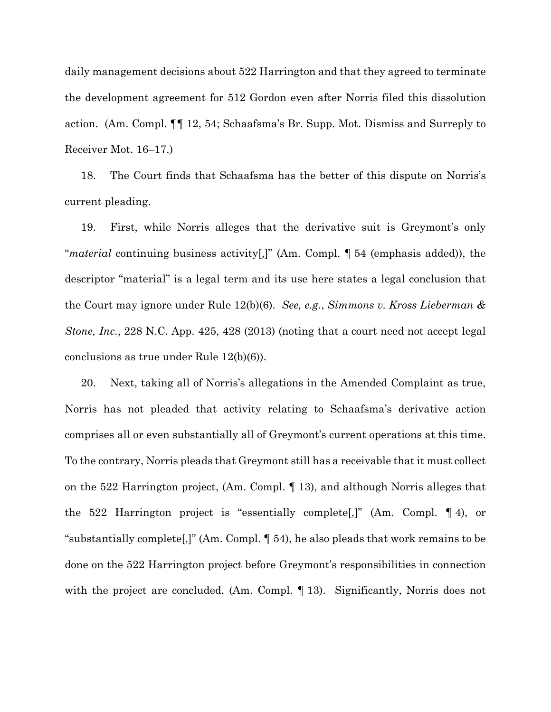daily management decisions about 522 Harrington and that they agreed to terminate the development agreement for 512 Gordon even after Norris filed this dissolution action. (Am. Compl. ¶¶ 12, 54; Schaafsma's Br. Supp. Mot. Dismiss and Surreply to Receiver Mot. 16–17.)

18. The Court finds that Schaafsma has the better of this dispute on Norris's current pleading.

19. First, while Norris alleges that the derivative suit is Greymont's only "*material* continuing business activity[,]" (Am. Compl. ¶ 54 (emphasis added)), the descriptor "material" is a legal term and its use here states a legal conclusion that the Court may ignore under Rule 12(b)(6). *See, e.g.*, *Simmons v. Kross Lieberman & Stone, Inc.*, 228 N.C. App. 425, 428 (2013) (noting that a court need not accept legal conclusions as true under Rule 12(b)(6)).

20. Next, taking all of Norris's allegations in the Amended Complaint as true, Norris has not pleaded that activity relating to Schaafsma's derivative action comprises all or even substantially all of Greymont's current operations at this time. To the contrary, Norris pleads that Greymont still has a receivable that it must collect on the 522 Harrington project, (Am. Compl. ¶ 13), and although Norris alleges that the 522 Harrington project is "essentially complete[,]" (Am. Compl. ¶ 4), or "substantially complete[,]" (Am. Compl. ¶ 54), he also pleads that work remains to be done on the 522 Harrington project before Greymont's responsibilities in connection with the project are concluded, (Am. Compl. 13). Significantly, Norris does not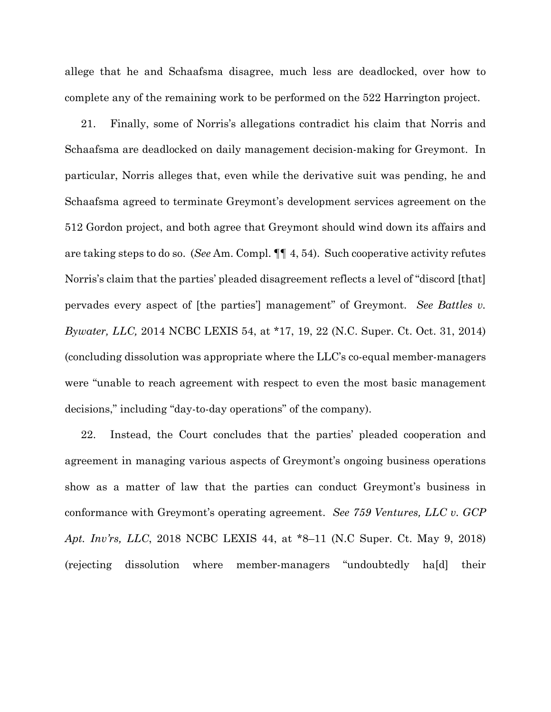allege that he and Schaafsma disagree, much less are deadlocked, over how to complete any of the remaining work to be performed on the 522 Harrington project.

21. Finally, some of Norris's allegations contradict his claim that Norris and Schaafsma are deadlocked on daily management decision-making for Greymont. In particular, Norris alleges that, even while the derivative suit was pending, he and Schaafsma agreed to terminate Greymont's development services agreement on the 512 Gordon project, and both agree that Greymont should wind down its affairs and are taking steps to do so. (*See* Am. Compl. ¶¶ 4, 54). Such cooperative activity refutes Norris's claim that the parties' pleaded disagreement reflects a level of "discord [that] pervades every aspect of [the parties'] management" of Greymont. *See Battles v. Bywater, LLC,* 2014 NCBC LEXIS 54, at \*17, 19, 22 (N.C. Super. Ct. Oct. 31, 2014) (concluding dissolution was appropriate where the LLC's co-equal member-managers were "unable to reach agreement with respect to even the most basic management decisions," including "day-to-day operations" of the company).

22. Instead, the Court concludes that the parties' pleaded cooperation and agreement in managing various aspects of Greymont's ongoing business operations show as a matter of law that the parties can conduct Greymont's business in conformance with Greymont's operating agreement. *See 759 Ventures, LLC v. GCP Apt. Inv'rs, LLC*, 2018 NCBC LEXIS 44, at \*8–11 (N.C Super. Ct. May 9, 2018) (rejecting dissolution where member-managers "undoubtedly ha[d] their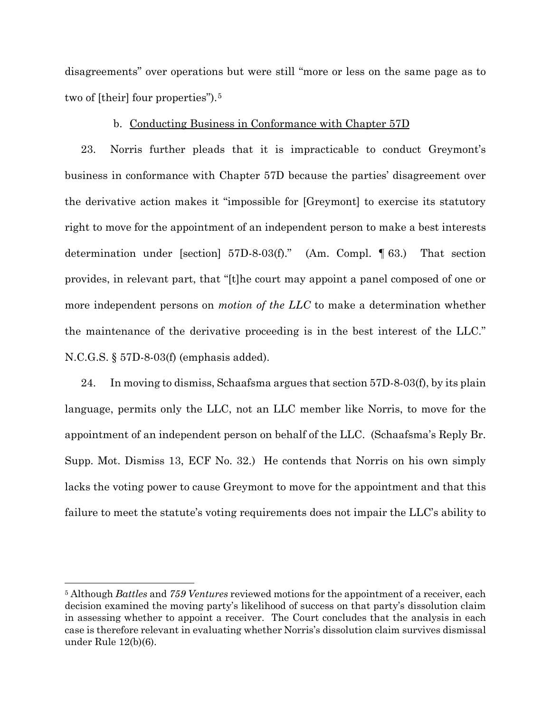disagreements" over operations but were still "more or less on the same page as to two of [their] four properties").[5](#page-10-0) 

### b. Conducting Business in Conformance with Chapter 57D

23. Norris further pleads that it is impracticable to conduct Greymont's business in conformance with Chapter 57D because the parties' disagreement over the derivative action makes it "impossible for [Greymont] to exercise its statutory right to move for the appointment of an independent person to make a best interests determination under [section] 57D-8-03(f)." (Am. Compl. ¶ 63.) That section provides, in relevant part, that "[t]he court may appoint a panel composed of one or more independent persons on *motion of the LLC* to make a determination whether the maintenance of the derivative proceeding is in the best interest of the LLC." N.C.G.S. § 57D-8-03(f) (emphasis added).

24. In moving to dismiss, Schaafsma argues that section 57D-8-03(f), by its plain language, permits only the LLC, not an LLC member like Norris, to move for the appointment of an independent person on behalf of the LLC. (Schaafsma's Reply Br. Supp. Mot. Dismiss 13, ECF No. 32.) He contends that Norris on his own simply lacks the voting power to cause Greymont to move for the appointment and that this failure to meet the statute's voting requirements does not impair the LLC's ability to

<span id="page-10-0"></span><sup>5</sup> Although *Battles* and *759 Ventures* reviewed motions for the appointment of a receiver, each decision examined the moving party's likelihood of success on that party's dissolution claim in assessing whether to appoint a receiver. The Court concludes that the analysis in each case is therefore relevant in evaluating whether Norris's dissolution claim survives dismissal under Rule 12(b)(6).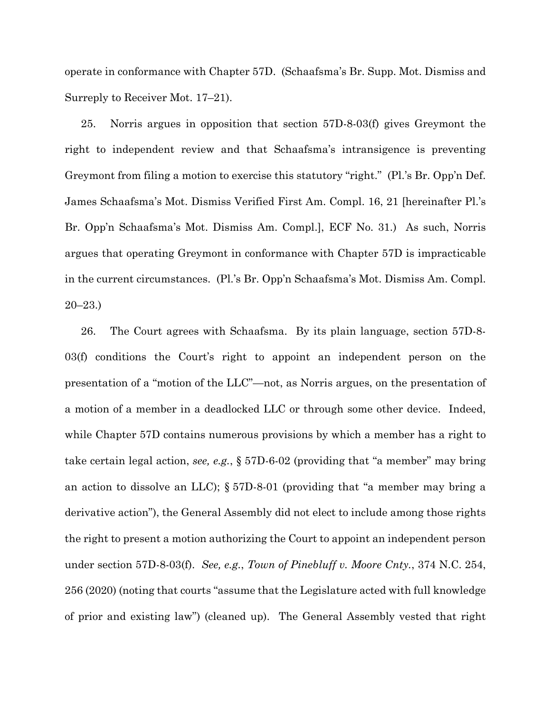operate in conformance with Chapter 57D. (Schaafsma's Br. Supp. Mot. Dismiss and Surreply to Receiver Mot. 17–21).

25. Norris argues in opposition that section 57D-8-03(f) gives Greymont the right to independent review and that Schaafsma's intransigence is preventing Greymont from filing a motion to exercise this statutory "right." (Pl.'s Br. Opp'n Def. James Schaafsma's Mot. Dismiss Verified First Am. Compl. 16, 21 [hereinafter Pl.'s Br. Opp'n Schaafsma's Mot. Dismiss Am. Compl.], ECF No. 31.) As such, Norris argues that operating Greymont in conformance with Chapter 57D is impracticable in the current circumstances. (Pl.'s Br. Opp'n Schaafsma's Mot. Dismiss Am. Compl. 20–23.)

26. The Court agrees with Schaafsma. By its plain language, section 57D-8- 03(f) conditions the Court's right to appoint an independent person on the presentation of a "motion of the LLC"—not, as Norris argues, on the presentation of a motion of a member in a deadlocked LLC or through some other device. Indeed, while Chapter 57D contains numerous provisions by which a member has a right to take certain legal action, *see, e.g.*, § 57D-6-02 (providing that "a member" may bring an action to dissolve an LLC); § 57D-8-01 (providing that "a member may bring a derivative action"), the General Assembly did not elect to include among those rights the right to present a motion authorizing the Court to appoint an independent person under section 57D-8-03(f). *See, e.g.*, *Town of Pinebluff v. Moore Cnty.*, 374 N.C. 254, 256 (2020) (noting that courts "assume that the Legislature acted with full knowledge of prior and existing law") (cleaned up). The General Assembly vested that right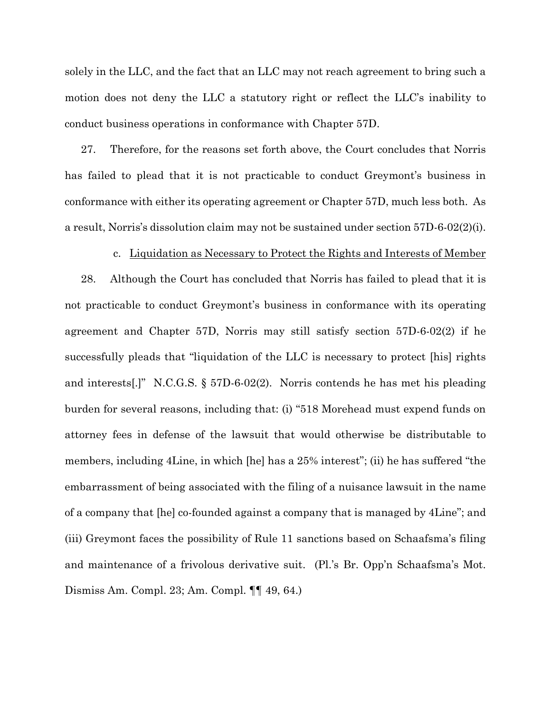solely in the LLC, and the fact that an LLC may not reach agreement to bring such a motion does not deny the LLC a statutory right or reflect the LLC's inability to conduct business operations in conformance with Chapter 57D.

27. Therefore, for the reasons set forth above, the Court concludes that Norris has failed to plead that it is not practicable to conduct Greymont's business in conformance with either its operating agreement or Chapter 57D, much less both. As a result, Norris's dissolution claim may not be sustained under section 57D-6-02(2)(i).

#### c. Liquidation as Necessary to Protect the Rights and Interests of Member

28. Although the Court has concluded that Norris has failed to plead that it is not practicable to conduct Greymont's business in conformance with its operating agreement and Chapter 57D, Norris may still satisfy section 57D-6-02(2) if he successfully pleads that "liquidation of the LLC is necessary to protect [his] rights and interests[.]" N.C.G.S. § 57D-6-02(2). Norris contends he has met his pleading burden for several reasons, including that: (i) "518 Morehead must expend funds on attorney fees in defense of the lawsuit that would otherwise be distributable to members, including 4Line, in which [he] has a 25% interest"; (ii) he has suffered "the embarrassment of being associated with the filing of a nuisance lawsuit in the name of a company that [he] co-founded against a company that is managed by 4Line"; and (iii) Greymont faces the possibility of Rule 11 sanctions based on Schaafsma's filing and maintenance of a frivolous derivative suit. (Pl.'s Br. Opp'n Schaafsma's Mot. Dismiss Am. Compl. 23; Am. Compl. ¶¶ 49, 64.)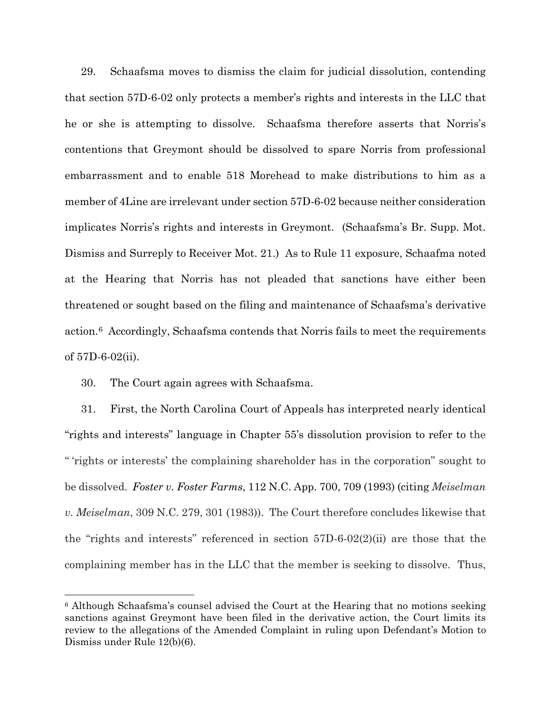29. Schaafsma moves to dismiss the claim for judicial dissolution, contending that section 57D-6-02 only protects a member's rights and interests in the LLC that he or she is attempting to dissolve. Schaafsma therefore asserts that Norris's contentions that Greymont should be dissolved to spare Norris from professional embarrassment and to enable 518 Morehead to make distributions to him as a member of 4Line are irrelevant under section 57D-6-02 because neither consideration implicates Norris's rights and interests in Greymont. (Schaafsma's Br. Supp. Mot. Dismiss and Surreply to Receiver Mot. 21.) As to Rule 11 exposure, Schaafma noted at the Hearing that Norris has not pleaded that sanctions have either been threatened or sought based on the filing and maintenance of Schaafsma's derivative action.[6](#page-13-0) Accordingly, Schaafsma contends that Norris fails to meet the requirements of 57D-6-02(ii).

30. The Court again agrees with Schaafsma.

31. First, the North Carolina Court of Appeals has interpreted nearly identical "rights and interests" language in Chapter 55's dissolution provision to refer to the " 'rights or interests' the complaining shareholder has in the corporation" sought to be dissolved. *Foster v. Foster Farms*, 112 N.C. App. 700, 709 (1993) (citing *Meiselman v. Meiselman*, 309 N.C. 279, 301 (1983)). The Court therefore concludes likewise that the "rights and interests" referenced in section 57D-6-02(2)(ii) are those that the complaining member has in the LLC that the member is seeking to dissolve. Thus,

<span id="page-13-0"></span><sup>6</sup> Although Schaafsma's counsel advised the Court at the Hearing that no motions seeking sanctions against Greymont have been filed in the derivative action, the Court limits its review to the allegations of the Amended Complaint in ruling upon Defendant's Motion to Dismiss under Rule 12(b)(6).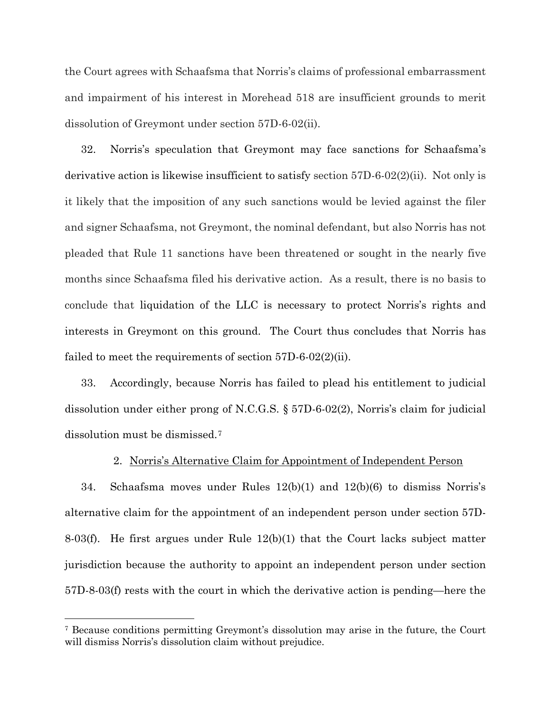the Court agrees with Schaafsma that Norris's claims of professional embarrassment and impairment of his interest in Morehead 518 are insufficient grounds to merit dissolution of Greymont under section 57D-6-02(ii).

32. Norris's speculation that Greymont may face sanctions for Schaafsma's derivative action is likewise insufficient to satisfy section 57D-6-02(2)(ii). Not only is it likely that the imposition of any such sanctions would be levied against the filer and signer Schaafsma, not Greymont, the nominal defendant, but also Norris has not pleaded that Rule 11 sanctions have been threatened or sought in the nearly five months since Schaafsma filed his derivative action. As a result, there is no basis to conclude that liquidation of the LLC is necessary to protect Norris's rights and interests in Greymont on this ground. The Court thus concludes that Norris has failed to meet the requirements of section 57D-6-02(2)(ii).

33. Accordingly, because Norris has failed to plead his entitlement to judicial dissolution under either prong of N.C.G.S. § 57D-6-02(2), Norris's claim for judicial dissolution must be dismissed.[7](#page-14-0)

## 2. Norris's Alternative Claim for Appointment of Independent Person

34. Schaafsma moves under Rules 12(b)(1) and 12(b)(6) to dismiss Norris's alternative claim for the appointment of an independent person under section 57D-8-03(f). He first argues under Rule 12(b)(1) that the Court lacks subject matter jurisdiction because the authority to appoint an independent person under section 57D-8-03(f) rests with the court in which the derivative action is pending—here the

<span id="page-14-0"></span><sup>7</sup> Because conditions permitting Greymont's dissolution may arise in the future, the Court will dismiss Norris's dissolution claim without prejudice.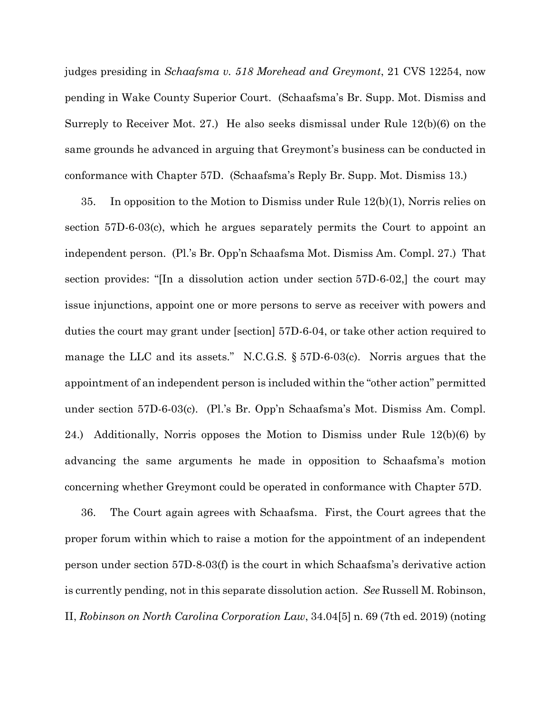judges presiding in *Schaafsma v. 518 Morehead and Greymont*, 21 CVS 12254, now pending in Wake County Superior Court. (Schaafsma's Br. Supp. Mot. Dismiss and Surreply to Receiver Mot. 27.) He also seeks dismissal under Rule 12(b)(6) on the same grounds he advanced in arguing that Greymont's business can be conducted in conformance with Chapter 57D. (Schaafsma's Reply Br. Supp. Mot. Dismiss 13.)

35. In opposition to the Motion to Dismiss under Rule 12(b)(1), Norris relies on section 57D-6-03(c), which he argues separately permits the Court to appoint an independent person. (Pl.'s Br. Opp'n Schaafsma Mot. Dismiss Am. Compl. 27.) That section provides: "[In a dissolution action under section 57D-6-02,] the court may issue injunctions, appoint one or more persons to serve as receiver with powers and duties the court may grant under [section] 57D-6-04, or take other action required to manage the LLC and its assets." N.C.G.S. § 57D-6-03(c). Norris argues that the appointment of an independent person is included within the "other action" permitted under section 57D-6-03(c). (Pl.'s Br. Opp'n Schaafsma's Mot. Dismiss Am. Compl. 24.) Additionally, Norris opposes the Motion to Dismiss under Rule 12(b)(6) by advancing the same arguments he made in opposition to Schaafsma's motion concerning whether Greymont could be operated in conformance with Chapter 57D.

36. The Court again agrees with Schaafsma. First, the Court agrees that the proper forum within which to raise a motion for the appointment of an independent person under section 57D-8-03(f) is the court in which Schaafsma's derivative action is currently pending, not in this separate dissolution action. *See* Russell M. Robinson, II, *Robinson on North Carolina Corporation Law*, 34.04[5] n. 69 (7th ed. 2019) (noting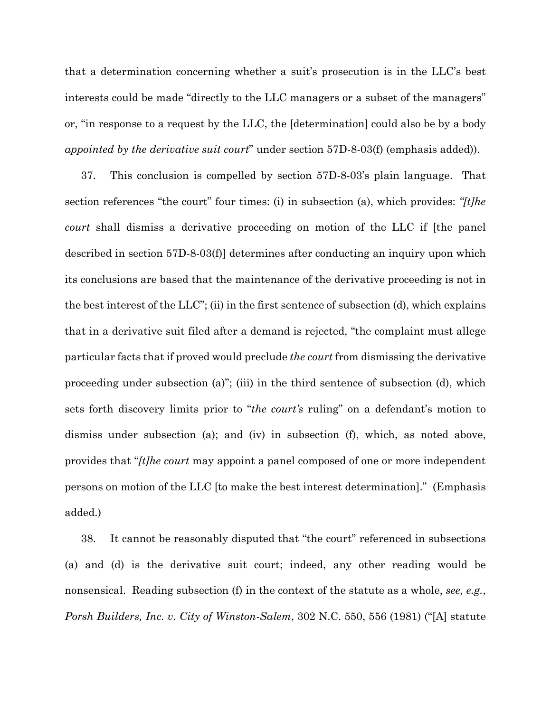that a determination concerning whether a suit's prosecution is in the LLC's best interests could be made "directly to the LLC managers or a subset of the managers" or, "in response to a request by the LLC, the [determination] could also be by a body *appointed by the derivative suit court*" under section 57D-8-03(f) (emphasis added)).

37. This conclusion is compelled by section 57D-8-03's plain language. That section references "the court" four times: (i) in subsection (a), which provides: *"[t]he court* shall dismiss a derivative proceeding on motion of the LLC if [the panel described in section 57D-8-03(f)] determines after conducting an inquiry upon which its conclusions are based that the maintenance of the derivative proceeding is not in the best interest of the LLC"; (ii) in the first sentence of subsection (d), which explains that in a derivative suit filed after a demand is rejected, "the complaint must allege particular facts that if proved would preclude *the court* from dismissing the derivative proceeding under subsection (a)"; (iii) in the third sentence of subsection (d), which sets forth discovery limits prior to "*the court's* ruling" on a defendant's motion to dismiss under subsection (a); and (iv) in subsection (f), which, as noted above, provides that "*[t]he court* may appoint a panel composed of one or more independent persons on motion of the LLC [to make the best interest determination]." (Emphasis added.)

38. It cannot be reasonably disputed that "the court" referenced in subsections (a) and (d) is the derivative suit court; indeed, any other reading would be nonsensical. Reading subsection (f) in the context of the statute as a whole, *see, e.g.*, *Porsh Builders, Inc. v. City of Winston-Salem*, 302 N.C. 550, 556 (1981) ("[A] statute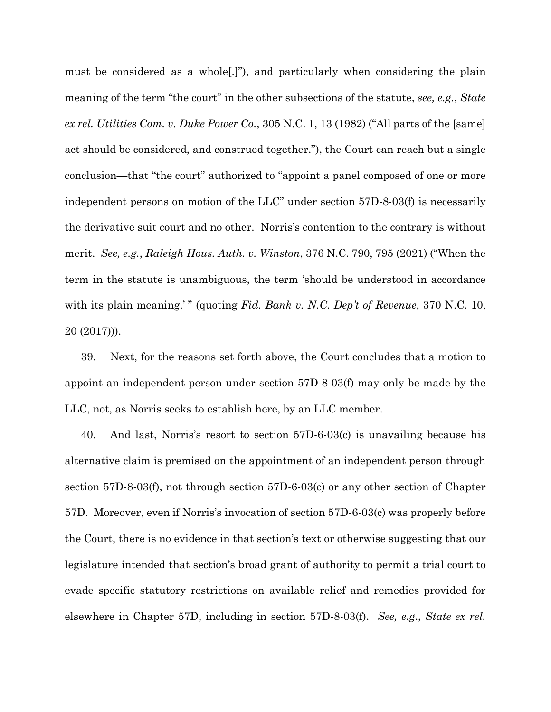must be considered as a whole[.]"), and particularly when considering the plain meaning of the term "the court" in the other subsections of the statute, *see, e.g.*, *State ex rel. Utilities Com. v. Duke Power Co.*, 305 N.C. 1, 13 (1982) ("All parts of the [same] act should be considered, and construed together."), the Court can reach but a single conclusion—that "the court" authorized to "appoint a panel composed of one or more independent persons on motion of the LLC" under section 57D-8-03(f) is necessarily the derivative suit court and no other. Norris's contention to the contrary is without merit. *See, e.g.*, *Raleigh Hous. Auth. v. Winston*, 376 N.C. 790, 795 (2021) ("When the term in the statute is unambiguous, the term 'should be understood in accordance with its plain meaning.' " (quoting *Fid. Bank v. N.C. Dep't of Revenue*, 370 N.C. 10, 20 (2017))).

39. Next, for the reasons set forth above, the Court concludes that a motion to appoint an independent person under section 57D-8-03(f) may only be made by the LLC, not, as Norris seeks to establish here, by an LLC member.

40. And last, Norris's resort to section 57D-6-03(c) is unavailing because his alternative claim is premised on the appointment of an independent person through section 57D-8-03(f), not through section 57D-6-03(c) or any other section of Chapter 57D. Moreover, even if Norris's invocation of section 57D-6-03(c) was properly before the Court, there is no evidence in that section's text or otherwise suggesting that our legislature intended that section's broad grant of authority to permit a trial court to evade specific statutory restrictions on available relief and remedies provided for elsewhere in Chapter 57D, including in section 57D-8-03(f). *See, e.g*., *State ex rel.*